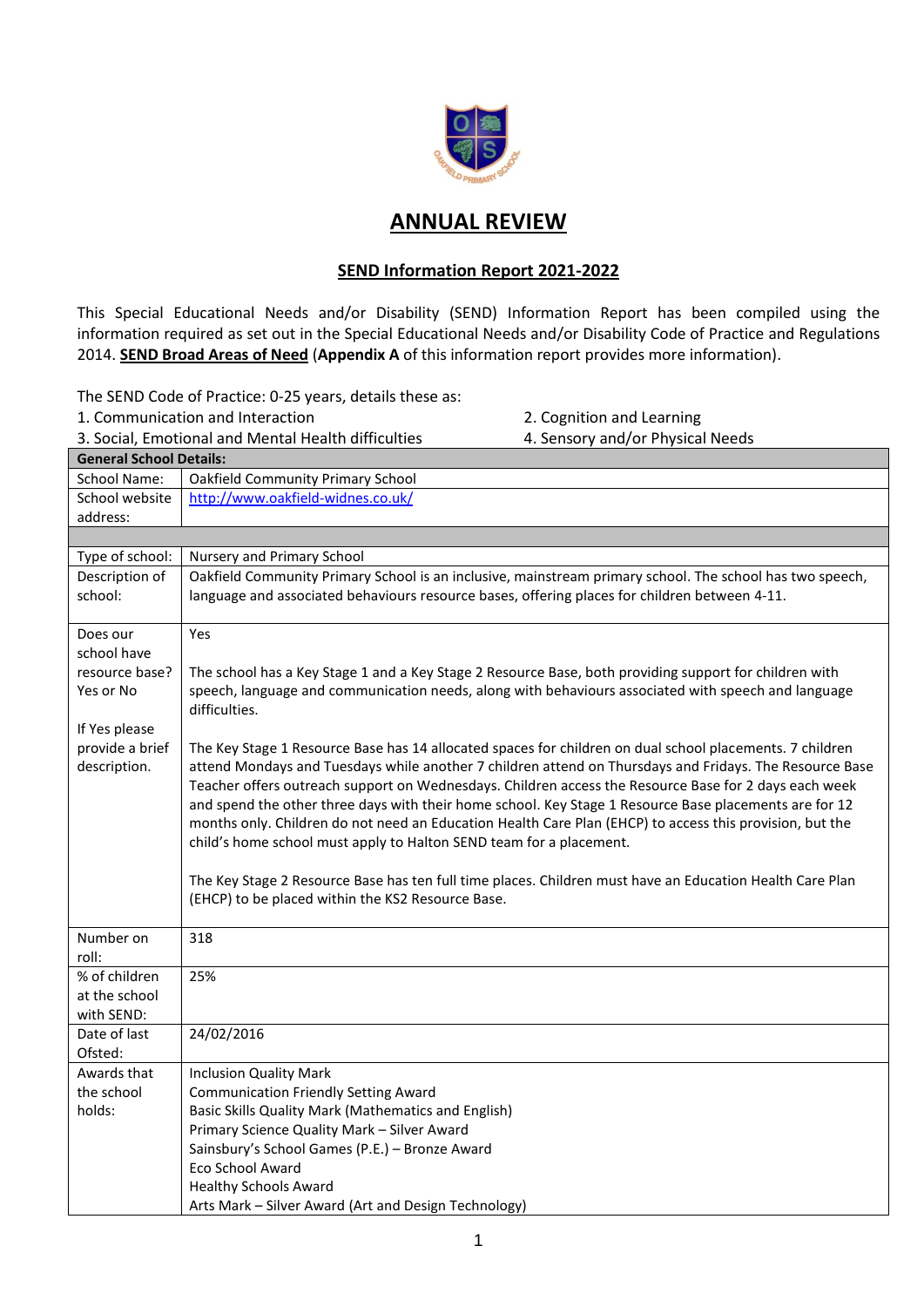

## **ANNUAL REVIEW**

## **SEND Information Report 2021-2022**

This Special Educational Needs and/or Disability (SEND) Information Report has been compiled using the information required as set out in the Special Educational Needs and/or Disability Code of Practice and Regulations 2014. **SEND Broad Areas of Need** (**Appendix A** of this information report provides more information).

The SEND Code of Practice: 0-25 years, details these as:

1. Communication and Interaction 2. Cognition and Learning

3. Social, Emotional and Mental Health difficulties 4. Sensory and/or Physical Needs

| <b>General School Details:</b> |                                                                                                                                                                                                                 |  |
|--------------------------------|-----------------------------------------------------------------------------------------------------------------------------------------------------------------------------------------------------------------|--|
| <b>School Name:</b>            | <b>Oakfield Community Primary School</b>                                                                                                                                                                        |  |
| School website                 | http://www.oakfield-widnes.co.uk/                                                                                                                                                                               |  |
| address:                       |                                                                                                                                                                                                                 |  |
|                                |                                                                                                                                                                                                                 |  |
| Type of school:                | Nursery and Primary School                                                                                                                                                                                      |  |
| Description of                 | Oakfield Community Primary School is an inclusive, mainstream primary school. The school has two speech,                                                                                                        |  |
| school:                        | language and associated behaviours resource bases, offering places for children between 4-11.                                                                                                                   |  |
| Does our                       | Yes                                                                                                                                                                                                             |  |
| school have                    |                                                                                                                                                                                                                 |  |
| resource base?                 | The school has a Key Stage 1 and a Key Stage 2 Resource Base, both providing support for children with                                                                                                          |  |
| Yes or No                      | speech, language and communication needs, along with behaviours associated with speech and language<br>difficulties.                                                                                            |  |
| If Yes please                  |                                                                                                                                                                                                                 |  |
| provide a brief                | The Key Stage 1 Resource Base has 14 allocated spaces for children on dual school placements. 7 children                                                                                                        |  |
| description.                   | attend Mondays and Tuesdays while another 7 children attend on Thursdays and Fridays. The Resource Base                                                                                                         |  |
|                                | Teacher offers outreach support on Wednesdays. Children access the Resource Base for 2 days each week<br>and spend the other three days with their home school. Key Stage 1 Resource Base placements are for 12 |  |
|                                | months only. Children do not need an Education Health Care Plan (EHCP) to access this provision, but the                                                                                                        |  |
|                                | child's home school must apply to Halton SEND team for a placement.                                                                                                                                             |  |
|                                |                                                                                                                                                                                                                 |  |
|                                | The Key Stage 2 Resource Base has ten full time places. Children must have an Education Health Care Plan                                                                                                        |  |
|                                | (EHCP) to be placed within the KS2 Resource Base.                                                                                                                                                               |  |
|                                |                                                                                                                                                                                                                 |  |
| Number on                      | 318                                                                                                                                                                                                             |  |
| roll:                          |                                                                                                                                                                                                                 |  |
| % of children                  | 25%                                                                                                                                                                                                             |  |
| at the school                  |                                                                                                                                                                                                                 |  |
| with SEND:                     |                                                                                                                                                                                                                 |  |
| Date of last                   | 24/02/2016                                                                                                                                                                                                      |  |
| Ofsted:                        |                                                                                                                                                                                                                 |  |
| Awards that                    | <b>Inclusion Quality Mark</b>                                                                                                                                                                                   |  |
| the school                     | <b>Communication Friendly Setting Award</b>                                                                                                                                                                     |  |
| holds:                         | Basic Skills Quality Mark (Mathematics and English)                                                                                                                                                             |  |
|                                | Primary Science Quality Mark - Silver Award                                                                                                                                                                     |  |
|                                | Sainsbury's School Games (P.E.) - Bronze Award<br>Eco School Award                                                                                                                                              |  |
|                                |                                                                                                                                                                                                                 |  |
|                                | <b>Healthy Schools Award</b>                                                                                                                                                                                    |  |
|                                | Arts Mark - Silver Award (Art and Design Technology)                                                                                                                                                            |  |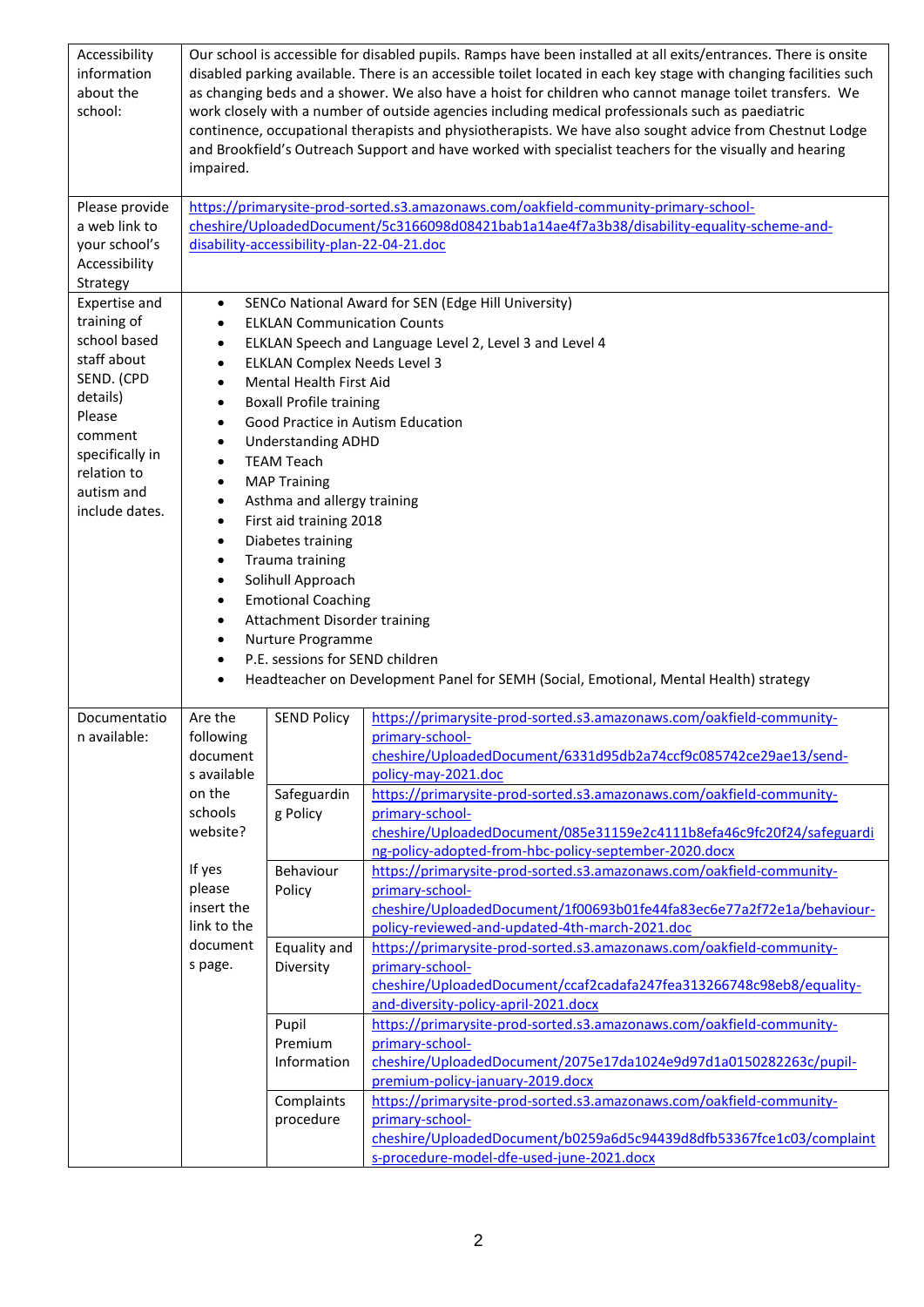| Accessibility<br>information<br>about the<br>school: | impaired.              |                                                   | Our school is accessible for disabled pupils. Ramps have been installed at all exits/entrances. There is onsite<br>disabled parking available. There is an accessible toilet located in each key stage with changing facilities such<br>as changing beds and a shower. We also have a hoist for children who cannot manage toilet transfers. We<br>work closely with a number of outside agencies including medical professionals such as paediatric<br>continence, occupational therapists and physiotherapists. We have also sought advice from Chestnut Lodge<br>and Brookfield's Outreach Support and have worked with specialist teachers for the visually and hearing |
|------------------------------------------------------|------------------------|---------------------------------------------------|-----------------------------------------------------------------------------------------------------------------------------------------------------------------------------------------------------------------------------------------------------------------------------------------------------------------------------------------------------------------------------------------------------------------------------------------------------------------------------------------------------------------------------------------------------------------------------------------------------------------------------------------------------------------------------|
| Please provide                                       |                        |                                                   | https://primarysite-prod-sorted.s3.amazonaws.com/oakfield-community-primary-school-                                                                                                                                                                                                                                                                                                                                                                                                                                                                                                                                                                                         |
| a web link to                                        |                        |                                                   | cheshire/UploadedDocument/5c3166098d08421bab1a14ae4f7a3b38/disability-equality-scheme-and-                                                                                                                                                                                                                                                                                                                                                                                                                                                                                                                                                                                  |
| your school's                                        |                        | disability-accessibility-plan-22-04-21.doc        |                                                                                                                                                                                                                                                                                                                                                                                                                                                                                                                                                                                                                                                                             |
| Accessibility                                        |                        |                                                   |                                                                                                                                                                                                                                                                                                                                                                                                                                                                                                                                                                                                                                                                             |
| Strategy<br>Expertise and                            | $\bullet$              |                                                   | SENCo National Award for SEN (Edge Hill University)                                                                                                                                                                                                                                                                                                                                                                                                                                                                                                                                                                                                                         |
| training of                                          | $\bullet$              | <b>ELKLAN Communication Counts</b>                |                                                                                                                                                                                                                                                                                                                                                                                                                                                                                                                                                                                                                                                                             |
| school based                                         | $\bullet$              |                                                   | ELKLAN Speech and Language Level 2, Level 3 and Level 4                                                                                                                                                                                                                                                                                                                                                                                                                                                                                                                                                                                                                     |
| staff about                                          | $\bullet$              | <b>ELKLAN Complex Needs Level 3</b>               |                                                                                                                                                                                                                                                                                                                                                                                                                                                                                                                                                                                                                                                                             |
| SEND. (CPD                                           | $\bullet$              | Mental Health First Aid                           |                                                                                                                                                                                                                                                                                                                                                                                                                                                                                                                                                                                                                                                                             |
| details)<br>Please                                   | $\bullet$              | <b>Boxall Profile training</b>                    |                                                                                                                                                                                                                                                                                                                                                                                                                                                                                                                                                                                                                                                                             |
| comment                                              | $\bullet$              |                                                   | Good Practice in Autism Education                                                                                                                                                                                                                                                                                                                                                                                                                                                                                                                                                                                                                                           |
| specifically in                                      | $\bullet$              | <b>Understanding ADHD</b>                         |                                                                                                                                                                                                                                                                                                                                                                                                                                                                                                                                                                                                                                                                             |
| relation to                                          | $\bullet$<br>$\bullet$ | <b>TEAM Teach</b><br><b>MAP Training</b>          |                                                                                                                                                                                                                                                                                                                                                                                                                                                                                                                                                                                                                                                                             |
| autism and                                           | $\bullet$              | Asthma and allergy training                       |                                                                                                                                                                                                                                                                                                                                                                                                                                                                                                                                                                                                                                                                             |
| include dates.                                       | $\bullet$              | First aid training 2018                           |                                                                                                                                                                                                                                                                                                                                                                                                                                                                                                                                                                                                                                                                             |
|                                                      | $\bullet$              | Diabetes training                                 |                                                                                                                                                                                                                                                                                                                                                                                                                                                                                                                                                                                                                                                                             |
|                                                      | $\bullet$              | Trauma training                                   |                                                                                                                                                                                                                                                                                                                                                                                                                                                                                                                                                                                                                                                                             |
|                                                      | $\bullet$              | Solihull Approach                                 |                                                                                                                                                                                                                                                                                                                                                                                                                                                                                                                                                                                                                                                                             |
|                                                      | $\bullet$              | <b>Emotional Coaching</b>                         |                                                                                                                                                                                                                                                                                                                                                                                                                                                                                                                                                                                                                                                                             |
|                                                      | $\bullet$<br>$\bullet$ | Attachment Disorder training<br>Nurture Programme |                                                                                                                                                                                                                                                                                                                                                                                                                                                                                                                                                                                                                                                                             |
|                                                      | $\bullet$              | P.E. sessions for SEND children                   |                                                                                                                                                                                                                                                                                                                                                                                                                                                                                                                                                                                                                                                                             |
|                                                      | $\bullet$              |                                                   | Headteacher on Development Panel for SEMH (Social, Emotional, Mental Health) strategy                                                                                                                                                                                                                                                                                                                                                                                                                                                                                                                                                                                       |
|                                                      |                        |                                                   |                                                                                                                                                                                                                                                                                                                                                                                                                                                                                                                                                                                                                                                                             |
| Documentatio                                         | Are the                | <b>SEND Policy</b>                                | https://primarysite-prod-sorted.s3.amazonaws.com/oakfield-community-                                                                                                                                                                                                                                                                                                                                                                                                                                                                                                                                                                                                        |
| n available:                                         | following<br>document  |                                                   | primary-school-<br>cheshire/UploadedDocument/6331d95db2a74ccf9c085742ce29ae13/send-                                                                                                                                                                                                                                                                                                                                                                                                                                                                                                                                                                                         |
|                                                      | s available            |                                                   | policy-may-2021.doc                                                                                                                                                                                                                                                                                                                                                                                                                                                                                                                                                                                                                                                         |
|                                                      | on the                 | Safeguardin                                       | https://primarysite-prod-sorted.s3.amazonaws.com/oakfield-community-                                                                                                                                                                                                                                                                                                                                                                                                                                                                                                                                                                                                        |
|                                                      | schools                | g Policy                                          | primary-school-                                                                                                                                                                                                                                                                                                                                                                                                                                                                                                                                                                                                                                                             |
|                                                      | website?               |                                                   | cheshire/UploadedDocument/085e31159e2c4111b8efa46c9fc20f24/safeguardi                                                                                                                                                                                                                                                                                                                                                                                                                                                                                                                                                                                                       |
|                                                      | If yes                 | Behaviour                                         | ng-policy-adopted-from-hbc-policy-september-2020.docx<br>https://primarysite-prod-sorted.s3.amazonaws.com/oakfield-community-                                                                                                                                                                                                                                                                                                                                                                                                                                                                                                                                               |
|                                                      | please                 | Policy                                            | primary-school-                                                                                                                                                                                                                                                                                                                                                                                                                                                                                                                                                                                                                                                             |
|                                                      | insert the             |                                                   | cheshire/UploadedDocument/1f00693b01fe44fa83ec6e77a2f72e1a/behaviour-                                                                                                                                                                                                                                                                                                                                                                                                                                                                                                                                                                                                       |
|                                                      | link to the            |                                                   | policy-reviewed-and-updated-4th-march-2021.doc                                                                                                                                                                                                                                                                                                                                                                                                                                                                                                                                                                                                                              |
|                                                      | document               | Equality and                                      | https://primarysite-prod-sorted.s3.amazonaws.com/oakfield-community-                                                                                                                                                                                                                                                                                                                                                                                                                                                                                                                                                                                                        |
|                                                      | s page.                | Diversity                                         | primary-school-                                                                                                                                                                                                                                                                                                                                                                                                                                                                                                                                                                                                                                                             |
|                                                      |                        |                                                   | cheshire/UploadedDocument/ccaf2cadafa247fea313266748c98eb8/equality-                                                                                                                                                                                                                                                                                                                                                                                                                                                                                                                                                                                                        |
|                                                      |                        | Pupil                                             | and-diversity-policy-april-2021.docx<br>https://primarysite-prod-sorted.s3.amazonaws.com/oakfield-community-                                                                                                                                                                                                                                                                                                                                                                                                                                                                                                                                                                |
|                                                      |                        | Premium                                           | primary-school-                                                                                                                                                                                                                                                                                                                                                                                                                                                                                                                                                                                                                                                             |
|                                                      |                        | Information                                       | cheshire/UploadedDocument/2075e17da1024e9d97d1a0150282263c/pupil-                                                                                                                                                                                                                                                                                                                                                                                                                                                                                                                                                                                                           |
|                                                      |                        |                                                   | premium-policy-january-2019.docx                                                                                                                                                                                                                                                                                                                                                                                                                                                                                                                                                                                                                                            |
|                                                      |                        | Complaints                                        | https://primarysite-prod-sorted.s3.amazonaws.com/oakfield-community-                                                                                                                                                                                                                                                                                                                                                                                                                                                                                                                                                                                                        |
|                                                      |                        | procedure                                         | primary-school-<br>cheshire/UploadedDocument/b0259a6d5c94439d8dfb53367fce1c03/complaint                                                                                                                                                                                                                                                                                                                                                                                                                                                                                                                                                                                     |
|                                                      |                        |                                                   | s-procedure-model-dfe-used-june-2021.docx                                                                                                                                                                                                                                                                                                                                                                                                                                                                                                                                                                                                                                   |
|                                                      |                        |                                                   |                                                                                                                                                                                                                                                                                                                                                                                                                                                                                                                                                                                                                                                                             |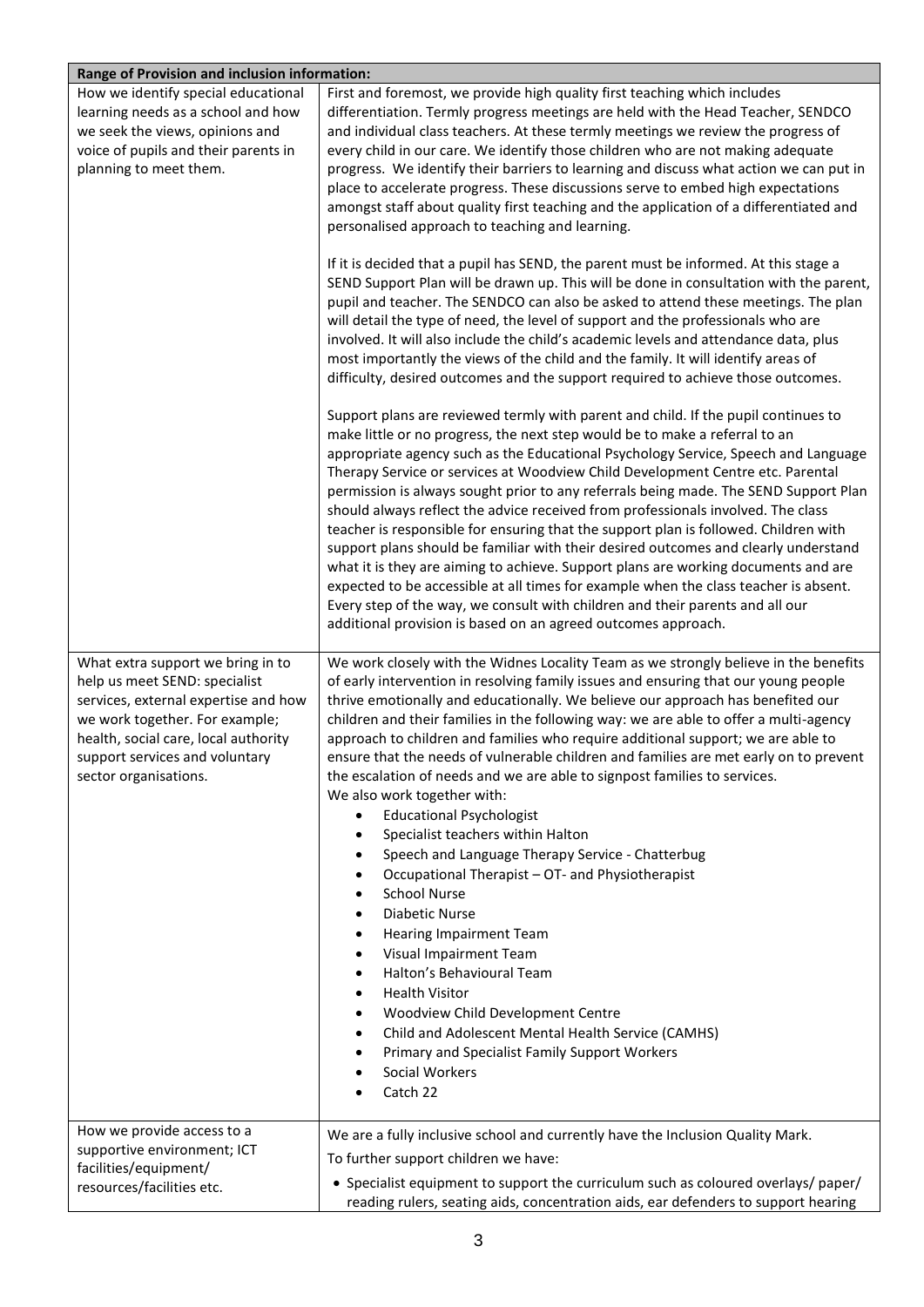| Range of Provision and inclusion information:                                                                                                                                                                                                   |                                                                                                                                                                                                                                                                                                                                                                                                                                                                                                                                                                                                                                                                                                                                                                                                                                                                                                                                                                                                                                                                                                                                                                                                                                                                                                                                                                                                                                                                                                                                                                                                                                                                                                                                                                                                                                                                                                                                                                                                                                                                                                                                                                                                                                                                                                                                       |  |
|-------------------------------------------------------------------------------------------------------------------------------------------------------------------------------------------------------------------------------------------------|---------------------------------------------------------------------------------------------------------------------------------------------------------------------------------------------------------------------------------------------------------------------------------------------------------------------------------------------------------------------------------------------------------------------------------------------------------------------------------------------------------------------------------------------------------------------------------------------------------------------------------------------------------------------------------------------------------------------------------------------------------------------------------------------------------------------------------------------------------------------------------------------------------------------------------------------------------------------------------------------------------------------------------------------------------------------------------------------------------------------------------------------------------------------------------------------------------------------------------------------------------------------------------------------------------------------------------------------------------------------------------------------------------------------------------------------------------------------------------------------------------------------------------------------------------------------------------------------------------------------------------------------------------------------------------------------------------------------------------------------------------------------------------------------------------------------------------------------------------------------------------------------------------------------------------------------------------------------------------------------------------------------------------------------------------------------------------------------------------------------------------------------------------------------------------------------------------------------------------------------------------------------------------------------------------------------------------------|--|
| How we identify special educational<br>learning needs as a school and how<br>we seek the views, opinions and<br>voice of pupils and their parents in<br>planning to meet them.                                                                  | First and foremost, we provide high quality first teaching which includes<br>differentiation. Termly progress meetings are held with the Head Teacher, SENDCO<br>and individual class teachers. At these termly meetings we review the progress of<br>every child in our care. We identify those children who are not making adequate<br>progress. We identify their barriers to learning and discuss what action we can put in<br>place to accelerate progress. These discussions serve to embed high expectations<br>amongst staff about quality first teaching and the application of a differentiated and<br>personalised approach to teaching and learning.<br>If it is decided that a pupil has SEND, the parent must be informed. At this stage a<br>SEND Support Plan will be drawn up. This will be done in consultation with the parent,<br>pupil and teacher. The SENDCO can also be asked to attend these meetings. The plan<br>will detail the type of need, the level of support and the professionals who are<br>involved. It will also include the child's academic levels and attendance data, plus<br>most importantly the views of the child and the family. It will identify areas of<br>difficulty, desired outcomes and the support required to achieve those outcomes.<br>Support plans are reviewed termly with parent and child. If the pupil continues to<br>make little or no progress, the next step would be to make a referral to an<br>appropriate agency such as the Educational Psychology Service, Speech and Language<br>Therapy Service or services at Woodview Child Development Centre etc. Parental<br>permission is always sought prior to any referrals being made. The SEND Support Plan<br>should always reflect the advice received from professionals involved. The class<br>teacher is responsible for ensuring that the support plan is followed. Children with<br>support plans should be familiar with their desired outcomes and clearly understand<br>what it is they are aiming to achieve. Support plans are working documents and are<br>expected to be accessible at all times for example when the class teacher is absent.<br>Every step of the way, we consult with children and their parents and all our<br>additional provision is based on an agreed outcomes approach. |  |
| What extra support we bring in to<br>help us meet SEND: specialist<br>services, external expertise and how<br>we work together. For example;<br>health, social care, local authority<br>support services and voluntary<br>sector organisations. | We work closely with the Widnes Locality Team as we strongly believe in the benefits<br>of early intervention in resolving family issues and ensuring that our young people<br>thrive emotionally and educationally. We believe our approach has benefited our<br>children and their families in the following way: we are able to offer a multi-agency<br>approach to children and families who require additional support; we are able to<br>ensure that the needs of vulnerable children and families are met early on to prevent<br>the escalation of needs and we are able to signpost families to services.<br>We also work together with:<br><b>Educational Psychologist</b><br>$\bullet$<br>Specialist teachers within Halton<br>$\bullet$<br>Speech and Language Therapy Service - Chatterbug<br>$\bullet$<br>Occupational Therapist - OT- and Physiotherapist<br>$\bullet$<br><b>School Nurse</b><br>$\bullet$<br><b>Diabetic Nurse</b><br>$\bullet$<br><b>Hearing Impairment Team</b><br>$\bullet$<br>Visual Impairment Team<br>$\bullet$<br>Halton's Behavioural Team<br>$\bullet$<br><b>Health Visitor</b><br>$\bullet$<br>Woodview Child Development Centre<br>٠<br>Child and Adolescent Mental Health Service (CAMHS)<br>٠<br>Primary and Specialist Family Support Workers<br>٠<br>Social Workers<br>Catch 22                                                                                                                                                                                                                                                                                                                                                                                                                                                                                                                                                                                                                                                                                                                                                                                                                                                                                                                                                                                                         |  |
| How we provide access to a<br>supportive environment; ICT<br>facilities/equipment/<br>resources/facilities etc.                                                                                                                                 | We are a fully inclusive school and currently have the Inclusion Quality Mark.<br>To further support children we have:<br>• Specialist equipment to support the curriculum such as coloured overlays/ paper/<br>reading rulers, seating aids, concentration aids, ear defenders to support hearing                                                                                                                                                                                                                                                                                                                                                                                                                                                                                                                                                                                                                                                                                                                                                                                                                                                                                                                                                                                                                                                                                                                                                                                                                                                                                                                                                                                                                                                                                                                                                                                                                                                                                                                                                                                                                                                                                                                                                                                                                                    |  |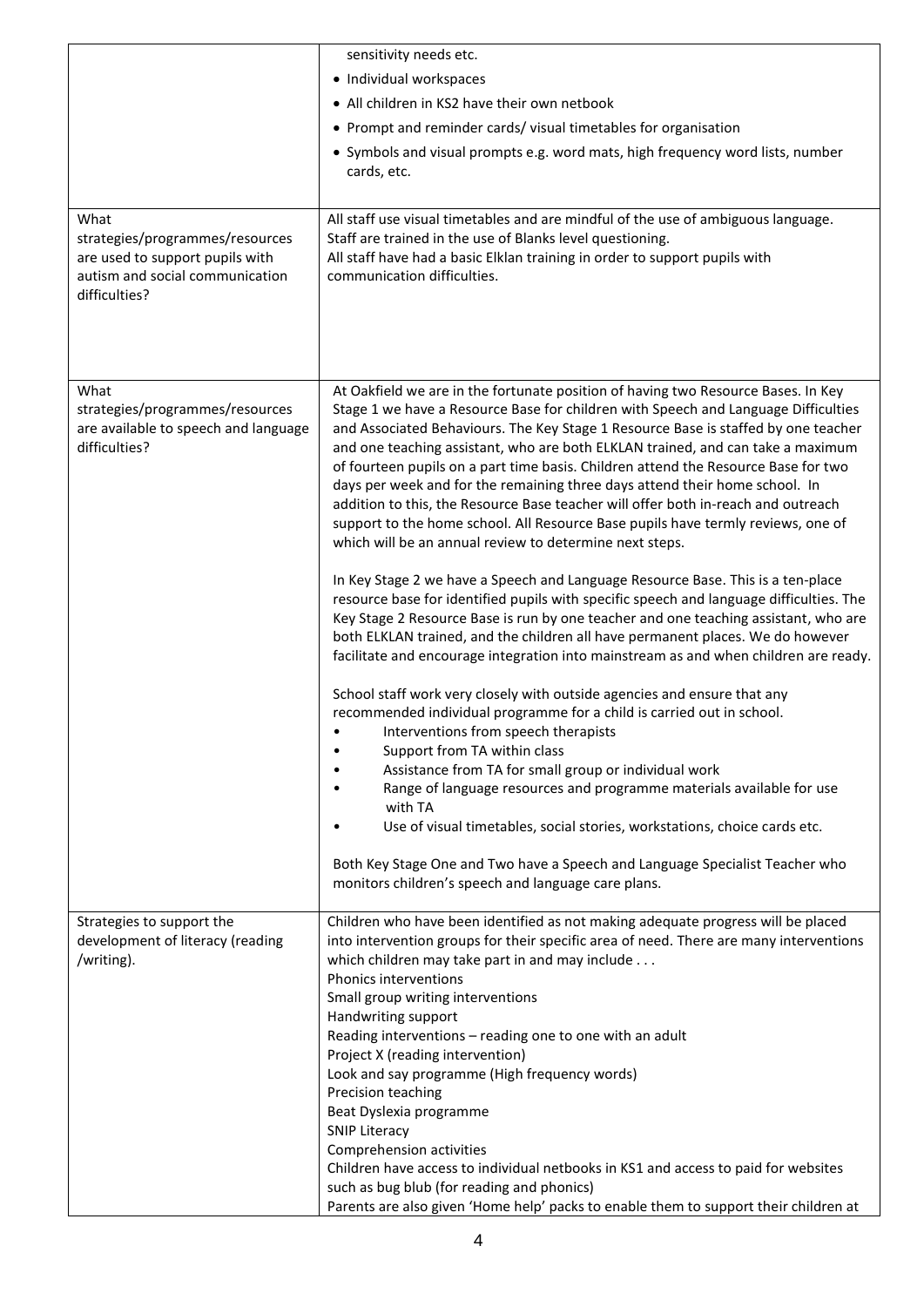|                                                                    | sensitivity needs etc.                                                                                                                                                |
|--------------------------------------------------------------------|-----------------------------------------------------------------------------------------------------------------------------------------------------------------------|
|                                                                    | • Individual workspaces                                                                                                                                               |
|                                                                    | • All children in KS2 have their own netbook                                                                                                                          |
|                                                                    | • Prompt and reminder cards/visual timetables for organisation                                                                                                        |
|                                                                    | • Symbols and visual prompts e.g. word mats, high frequency word lists, number                                                                                        |
|                                                                    | cards, etc.                                                                                                                                                           |
| What                                                               | All staff use visual timetables and are mindful of the use of ambiguous language.                                                                                     |
| strategies/programmes/resources                                    | Staff are trained in the use of Blanks level questioning.                                                                                                             |
| are used to support pupils with<br>autism and social communication | All staff have had a basic Elklan training in order to support pupils with<br>communication difficulties.                                                             |
| difficulties?                                                      |                                                                                                                                                                       |
|                                                                    |                                                                                                                                                                       |
|                                                                    |                                                                                                                                                                       |
|                                                                    |                                                                                                                                                                       |
| What                                                               | At Oakfield we are in the fortunate position of having two Resource Bases. In Key                                                                                     |
| strategies/programmes/resources                                    | Stage 1 we have a Resource Base for children with Speech and Language Difficulties                                                                                    |
| are available to speech and language                               | and Associated Behaviours. The Key Stage 1 Resource Base is staffed by one teacher                                                                                    |
| difficulties?                                                      | and one teaching assistant, who are both ELKLAN trained, and can take a maximum<br>of fourteen pupils on a part time basis. Children attend the Resource Base for two |
|                                                                    | days per week and for the remaining three days attend their home school. In                                                                                           |
|                                                                    | addition to this, the Resource Base teacher will offer both in-reach and outreach                                                                                     |
|                                                                    | support to the home school. All Resource Base pupils have termly reviews, one of                                                                                      |
|                                                                    | which will be an annual review to determine next steps.                                                                                                               |
|                                                                    | In Key Stage 2 we have a Speech and Language Resource Base. This is a ten-place                                                                                       |
|                                                                    | resource base for identified pupils with specific speech and language difficulties. The                                                                               |
|                                                                    | Key Stage 2 Resource Base is run by one teacher and one teaching assistant, who are                                                                                   |
|                                                                    | both ELKLAN trained, and the children all have permanent places. We do however                                                                                        |
|                                                                    | facilitate and encourage integration into mainstream as and when children are ready.                                                                                  |
|                                                                    | School staff work very closely with outside agencies and ensure that any                                                                                              |
|                                                                    | recommended individual programme for a child is carried out in school.                                                                                                |
|                                                                    | Interventions from speech therapists                                                                                                                                  |
|                                                                    | Support from TA within class<br>Assistance from TA for small group or individual work                                                                                 |
|                                                                    | Range of language resources and programme materials available for use                                                                                                 |
|                                                                    | with TA                                                                                                                                                               |
|                                                                    | Use of visual timetables, social stories, workstations, choice cards etc.                                                                                             |
|                                                                    | Both Key Stage One and Two have a Speech and Language Specialist Teacher who                                                                                          |
|                                                                    | monitors children's speech and language care plans.                                                                                                                   |
|                                                                    |                                                                                                                                                                       |
| Strategies to support the                                          | Children who have been identified as not making adequate progress will be placed                                                                                      |
| development of literacy (reading<br>/writing).                     | into intervention groups for their specific area of need. There are many interventions<br>which children may take part in and may include                             |
|                                                                    | Phonics interventions                                                                                                                                                 |
|                                                                    | Small group writing interventions                                                                                                                                     |
|                                                                    | Handwriting support                                                                                                                                                   |
|                                                                    | Reading interventions - reading one to one with an adult<br>Project X (reading intervention)                                                                          |
|                                                                    | Look and say programme (High frequency words)                                                                                                                         |
|                                                                    | Precision teaching                                                                                                                                                    |
|                                                                    | Beat Dyslexia programme                                                                                                                                               |
|                                                                    | <b>SNIP Literacy</b>                                                                                                                                                  |
|                                                                    | Comprehension activities<br>Children have access to individual netbooks in KS1 and access to paid for websites                                                        |
|                                                                    | such as bug blub (for reading and phonics)                                                                                                                            |
|                                                                    | Parents are also given 'Home help' packs to enable them to support their children at                                                                                  |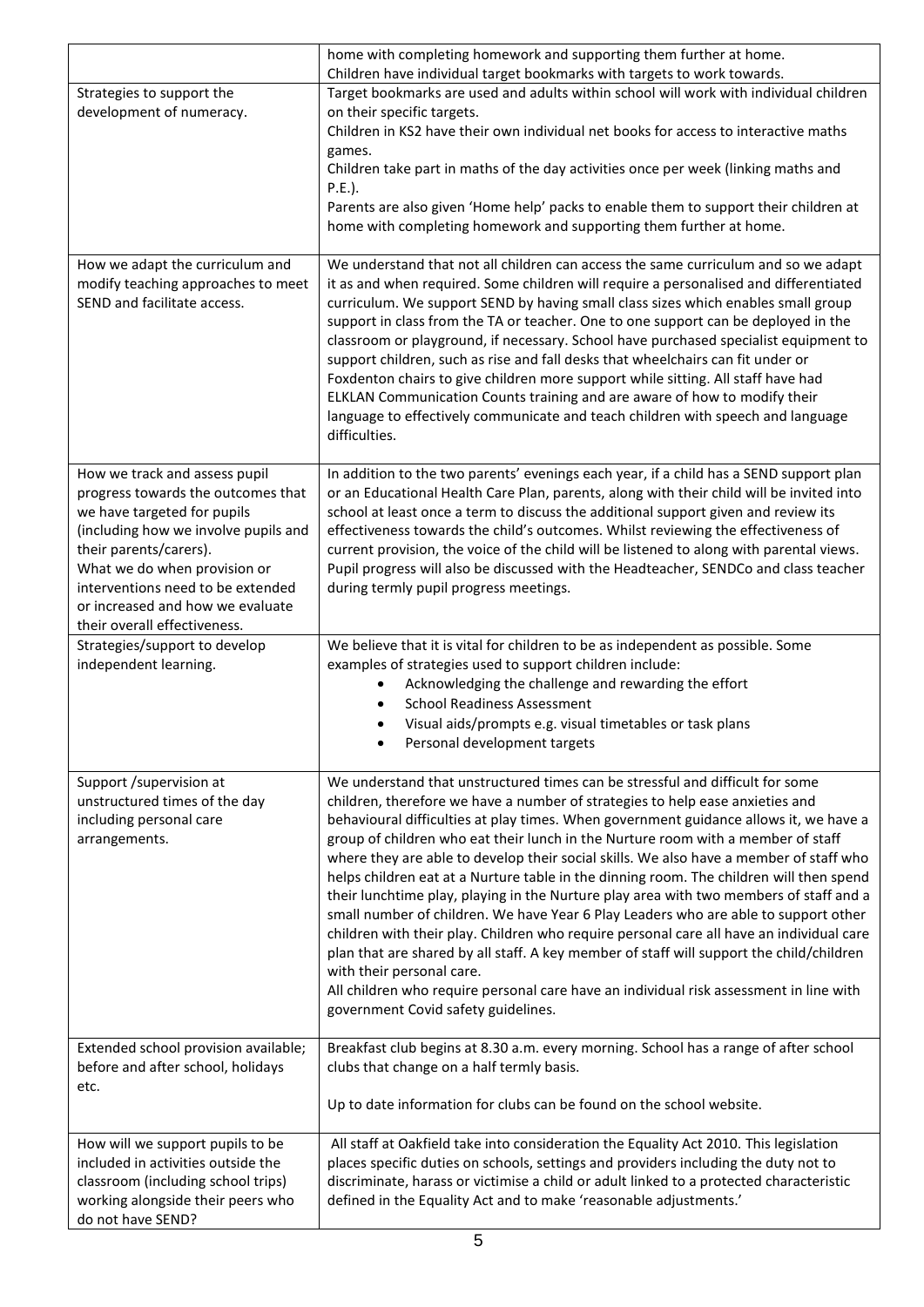|                                                                                                                                                                                                                                                                                                               | home with completing homework and supporting them further at home.                                                                                                                                                                                                                                                                                                                                                                                                                                                                                                                                                                                                                                                                                                                                                                                                                                                                                                                                                                                                      |
|---------------------------------------------------------------------------------------------------------------------------------------------------------------------------------------------------------------------------------------------------------------------------------------------------------------|-------------------------------------------------------------------------------------------------------------------------------------------------------------------------------------------------------------------------------------------------------------------------------------------------------------------------------------------------------------------------------------------------------------------------------------------------------------------------------------------------------------------------------------------------------------------------------------------------------------------------------------------------------------------------------------------------------------------------------------------------------------------------------------------------------------------------------------------------------------------------------------------------------------------------------------------------------------------------------------------------------------------------------------------------------------------------|
|                                                                                                                                                                                                                                                                                                               | Children have individual target bookmarks with targets to work towards.                                                                                                                                                                                                                                                                                                                                                                                                                                                                                                                                                                                                                                                                                                                                                                                                                                                                                                                                                                                                 |
| Strategies to support the                                                                                                                                                                                                                                                                                     | Target bookmarks are used and adults within school will work with individual children                                                                                                                                                                                                                                                                                                                                                                                                                                                                                                                                                                                                                                                                                                                                                                                                                                                                                                                                                                                   |
| development of numeracy.                                                                                                                                                                                                                                                                                      | on their specific targets.<br>Children in KS2 have their own individual net books for access to interactive maths<br>games.                                                                                                                                                                                                                                                                                                                                                                                                                                                                                                                                                                                                                                                                                                                                                                                                                                                                                                                                             |
|                                                                                                                                                                                                                                                                                                               | Children take part in maths of the day activities once per week (linking maths and<br>$P.E.$ ).                                                                                                                                                                                                                                                                                                                                                                                                                                                                                                                                                                                                                                                                                                                                                                                                                                                                                                                                                                         |
|                                                                                                                                                                                                                                                                                                               | Parents are also given 'Home help' packs to enable them to support their children at<br>home with completing homework and supporting them further at home.                                                                                                                                                                                                                                                                                                                                                                                                                                                                                                                                                                                                                                                                                                                                                                                                                                                                                                              |
| How we adapt the curriculum and<br>modify teaching approaches to meet<br>SEND and facilitate access.                                                                                                                                                                                                          | We understand that not all children can access the same curriculum and so we adapt<br>it as and when required. Some children will require a personalised and differentiated<br>curriculum. We support SEND by having small class sizes which enables small group<br>support in class from the TA or teacher. One to one support can be deployed in the<br>classroom or playground, if necessary. School have purchased specialist equipment to<br>support children, such as rise and fall desks that wheelchairs can fit under or<br>Foxdenton chairs to give children more support while sitting. All staff have had<br>ELKLAN Communication Counts training and are aware of how to modify their<br>language to effectively communicate and teach children with speech and language<br>difficulties.                                                                                                                                                                                                                                                                  |
| How we track and assess pupil<br>progress towards the outcomes that<br>we have targeted for pupils<br>(including how we involve pupils and<br>their parents/carers).<br>What we do when provision or<br>interventions need to be extended<br>or increased and how we evaluate<br>their overall effectiveness. | In addition to the two parents' evenings each year, if a child has a SEND support plan<br>or an Educational Health Care Plan, parents, along with their child will be invited into<br>school at least once a term to discuss the additional support given and review its<br>effectiveness towards the child's outcomes. Whilst reviewing the effectiveness of<br>current provision, the voice of the child will be listened to along with parental views.<br>Pupil progress will also be discussed with the Headteacher, SENDCo and class teacher<br>during termly pupil progress meetings.                                                                                                                                                                                                                                                                                                                                                                                                                                                                             |
| Strategies/support to develop                                                                                                                                                                                                                                                                                 | We believe that it is vital for children to be as independent as possible. Some                                                                                                                                                                                                                                                                                                                                                                                                                                                                                                                                                                                                                                                                                                                                                                                                                                                                                                                                                                                         |
| independent learning.                                                                                                                                                                                                                                                                                         | examples of strategies used to support children include:<br>Acknowledging the challenge and rewarding the effort<br><b>School Readiness Assessment</b><br>Visual aids/prompts e.g. visual timetables or task plans<br>Personal development targets                                                                                                                                                                                                                                                                                                                                                                                                                                                                                                                                                                                                                                                                                                                                                                                                                      |
| Support /supervision at<br>unstructured times of the day<br>including personal care<br>arrangements.                                                                                                                                                                                                          | We understand that unstructured times can be stressful and difficult for some<br>children, therefore we have a number of strategies to help ease anxieties and<br>behavioural difficulties at play times. When government guidance allows it, we have a<br>group of children who eat their lunch in the Nurture room with a member of staff<br>where they are able to develop their social skills. We also have a member of staff who<br>helps children eat at a Nurture table in the dinning room. The children will then spend<br>their lunchtime play, playing in the Nurture play area with two members of staff and a<br>small number of children. We have Year 6 Play Leaders who are able to support other<br>children with their play. Children who require personal care all have an individual care<br>plan that are shared by all staff. A key member of staff will support the child/children<br>with their personal care.<br>All children who require personal care have an individual risk assessment in line with<br>government Covid safety guidelines. |
| Extended school provision available;<br>before and after school, holidays<br>etc.                                                                                                                                                                                                                             | Breakfast club begins at 8.30 a.m. every morning. School has a range of after school<br>clubs that change on a half termly basis.                                                                                                                                                                                                                                                                                                                                                                                                                                                                                                                                                                                                                                                                                                                                                                                                                                                                                                                                       |
|                                                                                                                                                                                                                                                                                                               | Up to date information for clubs can be found on the school website.                                                                                                                                                                                                                                                                                                                                                                                                                                                                                                                                                                                                                                                                                                                                                                                                                                                                                                                                                                                                    |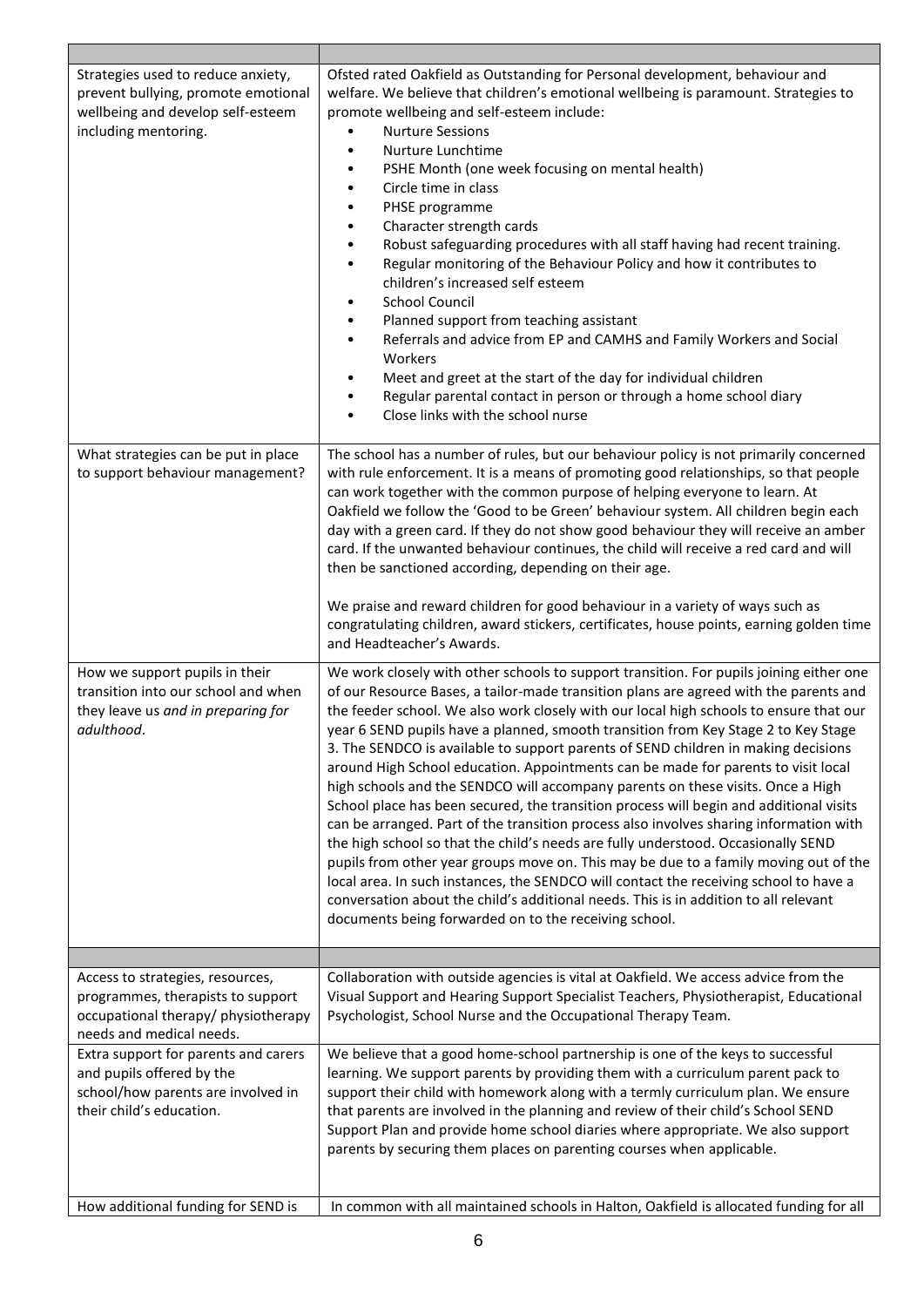| Strategies used to reduce anxiety,<br>prevent bullying, promote emotional<br>wellbeing and develop self-esteem<br>including mentoring.   | Ofsted rated Oakfield as Outstanding for Personal development, behaviour and<br>welfare. We believe that children's emotional wellbeing is paramount. Strategies to<br>promote wellbeing and self-esteem include:<br><b>Nurture Sessions</b><br>Nurture Lunchtime<br>PSHE Month (one week focusing on mental health)<br>$\bullet$<br>Circle time in class<br>$\bullet$<br>PHSE programme<br>$\bullet$<br>Character strength cards<br>$\bullet$<br>Robust safeguarding procedures with all staff having had recent training.<br>٠<br>Regular monitoring of the Behaviour Policy and how it contributes to<br>٠<br>children's increased self esteem<br><b>School Council</b><br>$\bullet$<br>Planned support from teaching assistant<br>٠<br>Referrals and advice from EP and CAMHS and Family Workers and Social<br>$\bullet$<br>Workers<br>Meet and greet at the start of the day for individual children<br>٠<br>Regular parental contact in person or through a home school diary<br>$\bullet$<br>Close links with the school nurse<br>$\bullet$                                                                                                                                                                                        |
|------------------------------------------------------------------------------------------------------------------------------------------|-------------------------------------------------------------------------------------------------------------------------------------------------------------------------------------------------------------------------------------------------------------------------------------------------------------------------------------------------------------------------------------------------------------------------------------------------------------------------------------------------------------------------------------------------------------------------------------------------------------------------------------------------------------------------------------------------------------------------------------------------------------------------------------------------------------------------------------------------------------------------------------------------------------------------------------------------------------------------------------------------------------------------------------------------------------------------------------------------------------------------------------------------------------------------------------------------------------------------------------------|
| What strategies can be put in place<br>to support behaviour management?                                                                  | The school has a number of rules, but our behaviour policy is not primarily concerned<br>with rule enforcement. It is a means of promoting good relationships, so that people<br>can work together with the common purpose of helping everyone to learn. At<br>Oakfield we follow the 'Good to be Green' behaviour system. All children begin each<br>day with a green card. If they do not show good behaviour they will receive an amber<br>card. If the unwanted behaviour continues, the child will receive a red card and will<br>then be sanctioned according, depending on their age.<br>We praise and reward children for good behaviour in a variety of ways such as<br>congratulating children, award stickers, certificates, house points, earning golden time<br>and Headteacher's Awards.                                                                                                                                                                                                                                                                                                                                                                                                                                    |
| How we support pupils in their<br>transition into our school and when<br>they leave us and in preparing for<br>adulthood.                | We work closely with other schools to support transition. For pupils joining either one<br>of our Resource Bases, a tailor-made transition plans are agreed with the parents and<br>the feeder school. We also work closely with our local high schools to ensure that our<br>year 6 SEND pupils have a planned, smooth transition from Key Stage 2 to Key Stage<br>3. The SENDCO is available to support parents of SEND children in making decisions<br>around High School education. Appointments can be made for parents to visit local<br>high schools and the SENDCO will accompany parents on these visits. Once a High<br>School place has been secured, the transition process will begin and additional visits<br>can be arranged. Part of the transition process also involves sharing information with<br>the high school so that the child's needs are fully understood. Occasionally SEND<br>pupils from other year groups move on. This may be due to a family moving out of the<br>local area. In such instances, the SENDCO will contact the receiving school to have a<br>conversation about the child's additional needs. This is in addition to all relevant<br>documents being forwarded on to the receiving school. |
|                                                                                                                                          |                                                                                                                                                                                                                                                                                                                                                                                                                                                                                                                                                                                                                                                                                                                                                                                                                                                                                                                                                                                                                                                                                                                                                                                                                                           |
| Access to strategies, resources,<br>programmes, therapists to support<br>occupational therapy/ physiotherapy<br>needs and medical needs. | Collaboration with outside agencies is vital at Oakfield. We access advice from the<br>Visual Support and Hearing Support Specialist Teachers, Physiotherapist, Educational<br>Psychologist, School Nurse and the Occupational Therapy Team.                                                                                                                                                                                                                                                                                                                                                                                                                                                                                                                                                                                                                                                                                                                                                                                                                                                                                                                                                                                              |
| Extra support for parents and carers<br>and pupils offered by the<br>school/how parents are involved in<br>their child's education.      | We believe that a good home-school partnership is one of the keys to successful<br>learning. We support parents by providing them with a curriculum parent pack to<br>support their child with homework along with a termly curriculum plan. We ensure<br>that parents are involved in the planning and review of their child's School SEND<br>Support Plan and provide home school diaries where appropriate. We also support<br>parents by securing them places on parenting courses when applicable.                                                                                                                                                                                                                                                                                                                                                                                                                                                                                                                                                                                                                                                                                                                                   |
| How additional funding for SEND is                                                                                                       | In common with all maintained schools in Halton, Oakfield is allocated funding for all                                                                                                                                                                                                                                                                                                                                                                                                                                                                                                                                                                                                                                                                                                                                                                                                                                                                                                                                                                                                                                                                                                                                                    |

Ξ

г

Т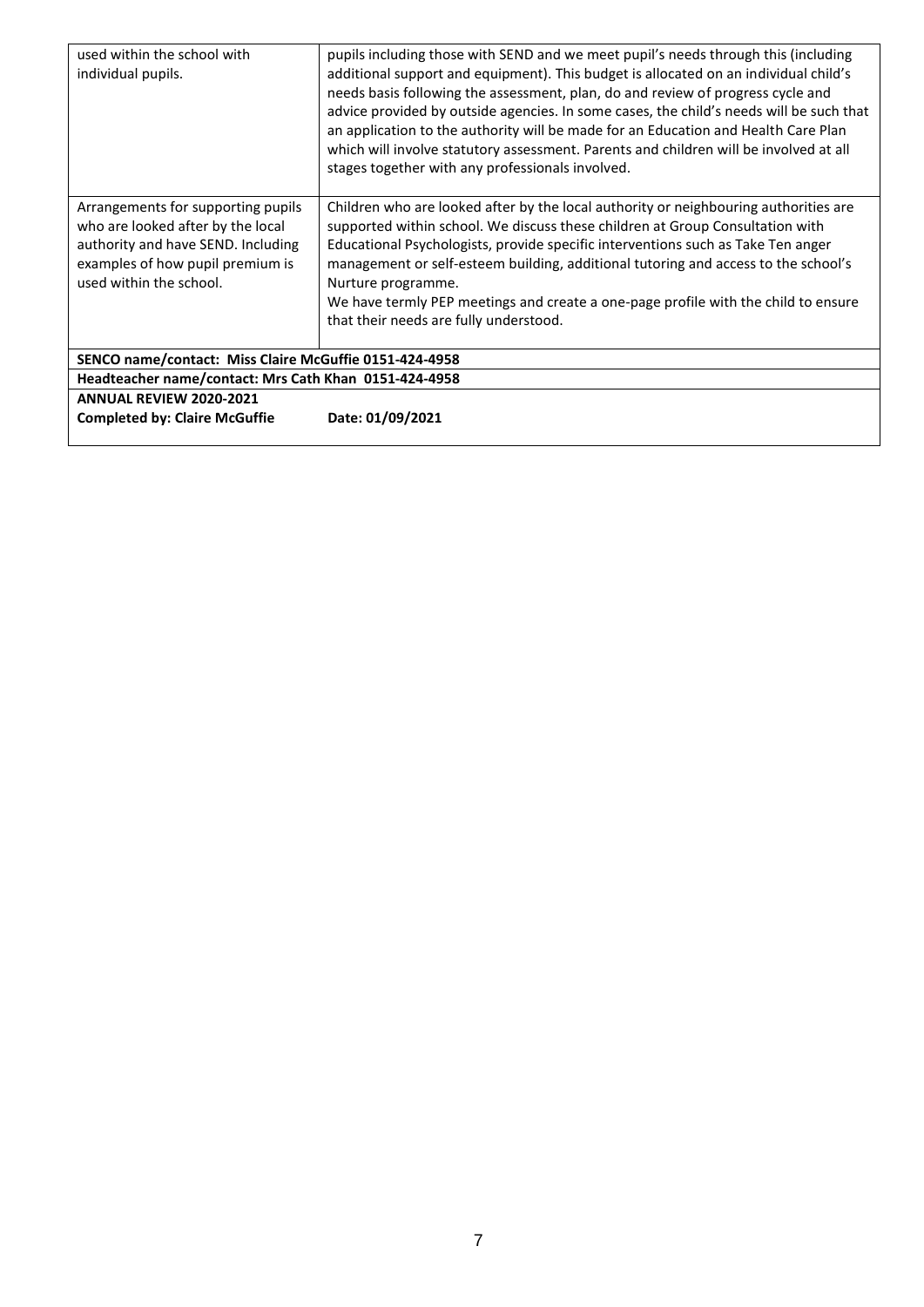| used within the school with<br>individual pupils.                                                                                                                            | pupils including those with SEND and we meet pupil's needs through this (including<br>additional support and equipment). This budget is allocated on an individual child's<br>needs basis following the assessment, plan, do and review of progress cycle and<br>advice provided by outside agencies. In some cases, the child's needs will be such that<br>an application to the authority will be made for an Education and Health Care Plan<br>which will involve statutory assessment. Parents and children will be involved at all |  |
|------------------------------------------------------------------------------------------------------------------------------------------------------------------------------|-----------------------------------------------------------------------------------------------------------------------------------------------------------------------------------------------------------------------------------------------------------------------------------------------------------------------------------------------------------------------------------------------------------------------------------------------------------------------------------------------------------------------------------------|--|
|                                                                                                                                                                              | stages together with any professionals involved.                                                                                                                                                                                                                                                                                                                                                                                                                                                                                        |  |
| Arrangements for supporting pupils<br>who are looked after by the local<br>authority and have SEND. Including<br>examples of how pupil premium is<br>used within the school. | Children who are looked after by the local authority or neighbouring authorities are<br>supported within school. We discuss these children at Group Consultation with<br>Educational Psychologists, provide specific interventions such as Take Ten anger<br>management or self-esteem building, additional tutoring and access to the school's<br>Nurture programme.<br>We have termly PEP meetings and create a one-page profile with the child to ensure<br>that their needs are fully understood.                                   |  |
| SENCO name/contact: Miss Claire McGuffie 0151-424-4958                                                                                                                       |                                                                                                                                                                                                                                                                                                                                                                                                                                                                                                                                         |  |
| Headteacher name/contact: Mrs Cath Khan 0151-424-4958                                                                                                                        |                                                                                                                                                                                                                                                                                                                                                                                                                                                                                                                                         |  |
| <b>ANNUAL REVIEW 2020-2021</b>                                                                                                                                               |                                                                                                                                                                                                                                                                                                                                                                                                                                                                                                                                         |  |
| <b>Completed by: Claire McGuffie</b>                                                                                                                                         | Date: 01/09/2021                                                                                                                                                                                                                                                                                                                                                                                                                                                                                                                        |  |
|                                                                                                                                                                              |                                                                                                                                                                                                                                                                                                                                                                                                                                                                                                                                         |  |